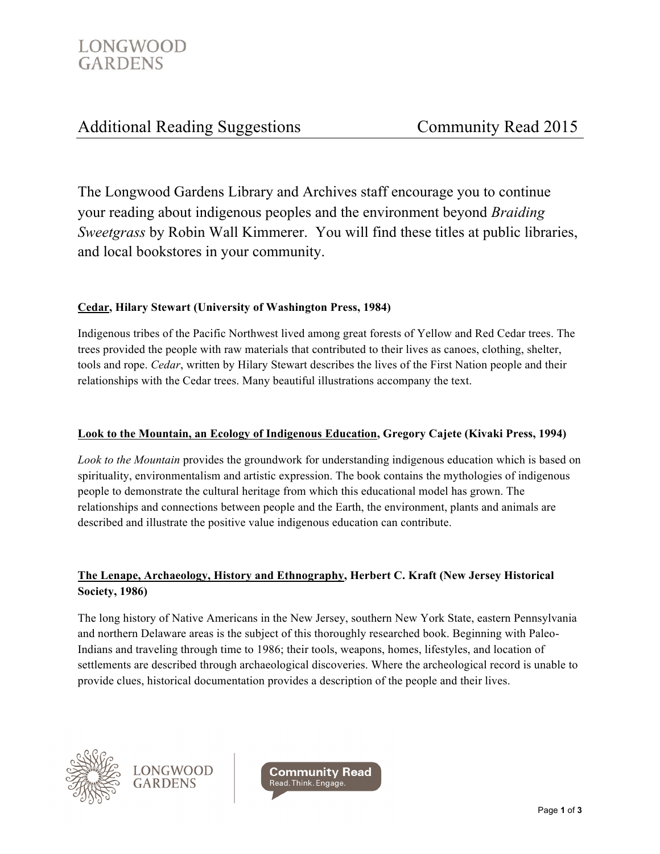# Additional Reading Suggestions Community Read 2015

The Longwood Gardens Library and Archives staff encourage you to continue your reading about indigenous peoples and the environment beyond *Braiding Sweetgrass* by Robin Wall Kimmerer. You will find these titles at public libraries, and local bookstores in your community.

# **Cedar, Hilary Stewart (University of Washington Press, 1984)**

Indigenous tribes of the Pacific Northwest lived among great forests of Yellow and Red Cedar trees. The trees provided the people with raw materials that contributed to their lives as canoes, clothing, shelter, tools and rope. *Cedar*, written by Hilary Stewart describes the lives of the First Nation people and their relationships with the Cedar trees. Many beautiful illustrations accompany the text.

# **Look to the Mountain, an Ecology of Indigenous Education, Gregory Cajete (Kivaki Press, 1994)**

*Look to the Mountain* provides the groundwork for understanding indigenous education which is based on spirituality, environmentalism and artistic expression. The book contains the mythologies of indigenous people to demonstrate the cultural heritage from which this educational model has grown. The relationships and connections between people and the Earth, the environment, plants and animals are described and illustrate the positive value indigenous education can contribute.

# **The Lenape, Archaeology, History and Ethnography, Herbert C. Kraft (New Jersey Historical Society, 1986)**

The long history of Native Americans in the New Jersey, southern New York State, eastern Pennsylvania and northern Delaware areas is the subject of this thoroughly researched book. Beginning with Paleo-Indians and traveling through time to 1986; their tools, weapons, homes, lifestyles, and location of settlements are described through archaeological discoveries. Where the archeological record is unable to provide clues, historical documentation provides a description of the people and their lives.



**LONGWOOD GARDENS** 

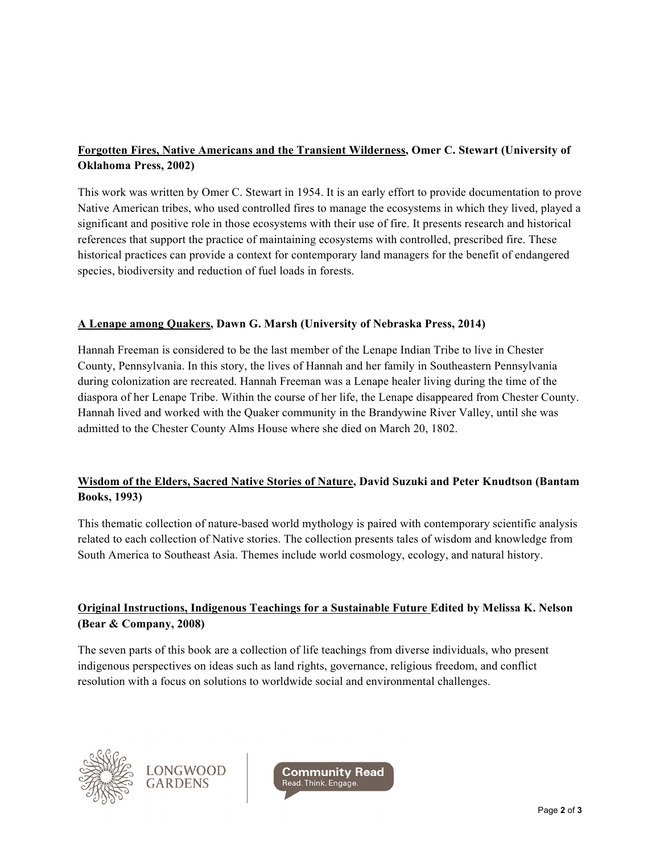# **Forgotten Fires, Native Americans and the Transient Wilderness, Omer C. Stewart (University of Oklahoma Press, 2002)**

This work was written by Omer C. Stewart in 1954. It is an early effort to provide documentation to prove Native American tribes, who used controlled fires to manage the ecosystems in which they lived, played a significant and positive role in those ecosystems with their use of fire. It presents research and historical references that support the practice of maintaining ecosystems with controlled, prescribed fire. These historical practices can provide a context for contemporary land managers for the benefit of endangered species, biodiversity and reduction of fuel loads in forests.

# **A Lenape among Quakers, Dawn G. Marsh (University of Nebraska Press, 2014)**

Hannah Freeman is considered to be the last member of the Lenape Indian Tribe to live in Chester County, Pennsylvania. In this story, the lives of Hannah and her family in Southeastern Pennsylvania during colonization are recreated. Hannah Freeman was a Lenape healer living during the time of the diaspora of her Lenape Tribe. Within the course of her life, the Lenape disappeared from Chester County. Hannah lived and worked with the Quaker community in the Brandywine River Valley, until she was admitted to the Chester County Alms House where she died on March 20, 1802.

# **Wisdom of the Elders, Sacred Native Stories of Nature, David Suzuki and Peter Knudtson (Bantam Books, 1993)**

This thematic collection of nature-based world mythology is paired with contemporary scientific analysis related to each collection of Native stories. The collection presents tales of wisdom and knowledge from South America to Southeast Asia. Themes include world cosmology, ecology, and natural history.

# **Original Instructions, Indigenous Teachings for a Sustainable Future Edited by Melissa K. Nelson (Bear & Company, 2008)**

The seven parts of this book are a collection of life teachings from diverse individuals, who present indigenous perspectives on ideas such as land rights, governance, religious freedom, and conflict resolution with a focus on solutions to worldwide social and environmental challenges.



LONGWOOD **GARDENS** 

Community Read Read. Think. Engage.